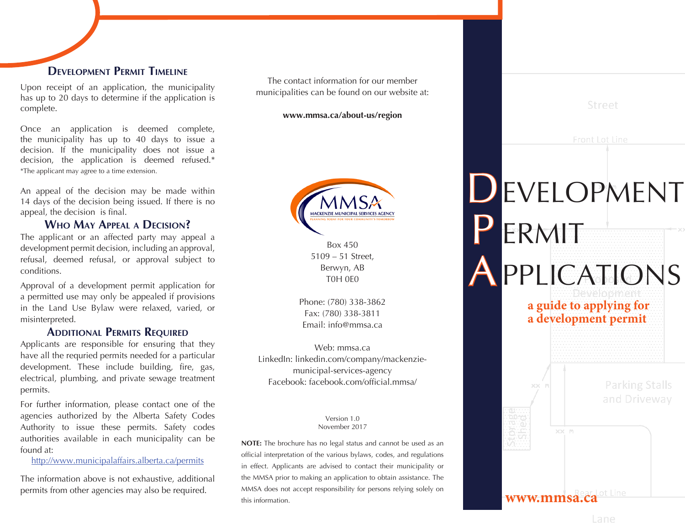### **Development Permit Timeline**

Upon receipt of an application, the municipality has up to 20 days to determine if the application is complete.

Once an application is deemed complete, the municipality has up to 40 days to issue a decision. If the municipality does not issue a decision, the application is deemed refused.\* \*The applicant may agree to a time extension.

An appeal of the decision may be made within 14 days of the decision being issued. If there is no appeal, the decision is final.

#### **Who May Appeal <sup>a</sup> Decision?**

The applicant or an affected party may appeal a development permit decision, including an approval, refusal, deemed refusal, or approval subject to conditions.

Approval of a development permit application for a permitted use may only be appealed if provisions in the Land Use Bylaw were relaxed, varied, or misinterpreted.

#### **Additional Permits Required**

Applicants are responsible for ensuring that they have all the requried permits needed for a particular development. These include building, fire, gas, electrical, plumbing, and private sewage treatment permits.

For further information, please contact one of the agencies authorized by the Alberta Safety Codes Authority to issue these permits. Safety codes authorities available in each municipality can be found at:

http://www.municipalaffairs.alberta.ca/permits

The information above is not exhaustive, additional permits from other agencies may also be required.

The contact information for our member municipalities can be found on our website at:

**www.mmsa.ca/about-us/region**



Box 450 5109 – 51 Street, Berwyn, AB T0H 0E0

Phone: (780) 338-3862 Fax: (780) 338-3811 Email: info@mmsa.ca

Web: mmsa.ca LinkedIn: linkedin.com/company/mackenziemunicipal-services-agency Facebook: facebook.com/official.mmsa/

#### Version 1.0 November 2017

**NOTE:** The brochure has no legal status and cannot be used as an official interpretation of the various bylaws, codes, and regulations in effect. Applicants are advised to contact their municipality or the MMSA prior to making an application to obtain assistance. The MMSA does not accept responsibility for persons relying solely on this information.

| Front Lot Line                                          |
|---------------------------------------------------------|
| EVELOPMENT                                              |
| ERMIT                                                   |
| <b>PPLICATIONS</b><br>eveloomen                         |
| a guide to applying for<br>a development permit         |
|                                                         |
| <b>Parking Stalls</b><br>$\times\times$<br>and Driveway |
| $\times\times$<br>M                                     |
|                                                         |

Street